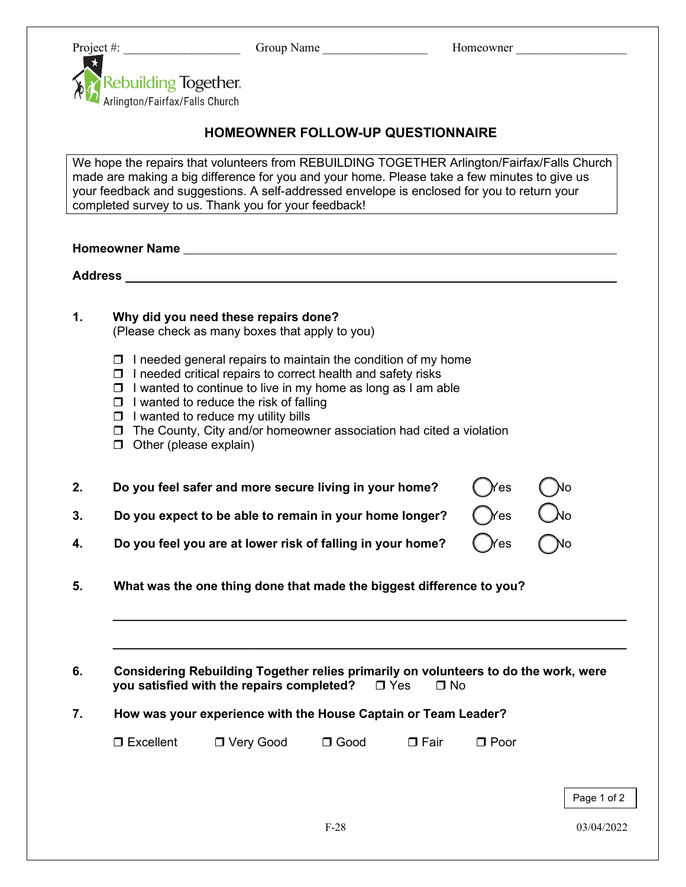Project #: \_\_\_\_\_\_\_\_\_\_\_\_\_\_\_\_\_\_\_ Group Name \_\_\_\_\_\_\_\_\_\_\_\_\_\_\_\_\_ Homeowner \_\_\_\_\_\_\_\_\_\_\_\_\_\_\_\_\_\_



## **HOMEOWNER FOLLOW-UP QUESTIONNAIRE**

We hope the repairs that volunteers from REBUILDING TOGETHER Arlington/Fairfax/Falls Church made are making a big difference for you and your home. Please take a few minutes to give us your feedback and suggestions. A self-addressed envelope is enclosed for you to return your completed survey to us. Thank you for your feedback!

**Homeowner Name**

**Address**

|  | Why did you need these repairs done? |  |
|--|--------------------------------------|--|
|  |                                      |  |

(Please check as many boxes that apply to you)

- $\Box$  I needed general repairs to maintain the condition of my home
- $\Box$  I needed critical repairs to correct health and safety risks
- $\Box$  I wanted to continue to live in my home as long as I am able
- $\Box$  I wanted to reduce the risk of falling
- $\Box$  I wanted to reduce my utility bills
- $\Box$  The County, City and/or homeowner association had cited a violation
- $\Box$  Other (please explain)

| Do you feel safer and more secure living in your home? $\bigcap$ res $\bigcap$ No  |  |
|------------------------------------------------------------------------------------|--|
| Do you expect to be able to remain in your home longer? $\bigcap$ Yes $\bigcap$ No |  |
|                                                                                    |  |

**4.** Do you feel you are at lower risk of falling in your home? (Nes (No

**5. What was the one thing done that made the biggest difference to you?**

| Considering Rebuilding Together relies primarily on volunteers to do the work, were |       |      |  |
|-------------------------------------------------------------------------------------|-------|------|--|
| you satisfied with the repairs completed?                                           | ⊟ Yes | □ No |  |

**\_\_\_\_\_\_\_\_\_\_\_\_\_\_\_\_\_\_\_\_\_\_\_\_\_\_\_\_\_\_\_\_\_\_\_\_\_\_\_\_\_\_\_\_\_\_\_\_\_\_\_\_\_\_\_\_\_\_\_\_\_\_\_\_\_\_\_\_\_\_\_\_\_\_\_**

**\_\_\_\_\_\_\_\_\_\_\_\_\_\_\_\_\_\_\_\_\_\_\_\_\_\_\_\_\_\_\_\_\_\_\_\_\_\_\_\_\_\_\_\_\_\_\_\_\_\_\_\_\_\_\_\_\_\_\_\_\_\_\_\_\_\_\_\_\_\_\_\_\_\_\_**

## **7. How was your experience with the House Captain or Team Leader?**

| $\Box$ Excellent | □ Very Good | $\Box$ Good | $\Box$ Fair | $\Box$ Poor |
|------------------|-------------|-------------|-------------|-------------|
|------------------|-------------|-------------|-------------|-------------|

Page 1 of 2